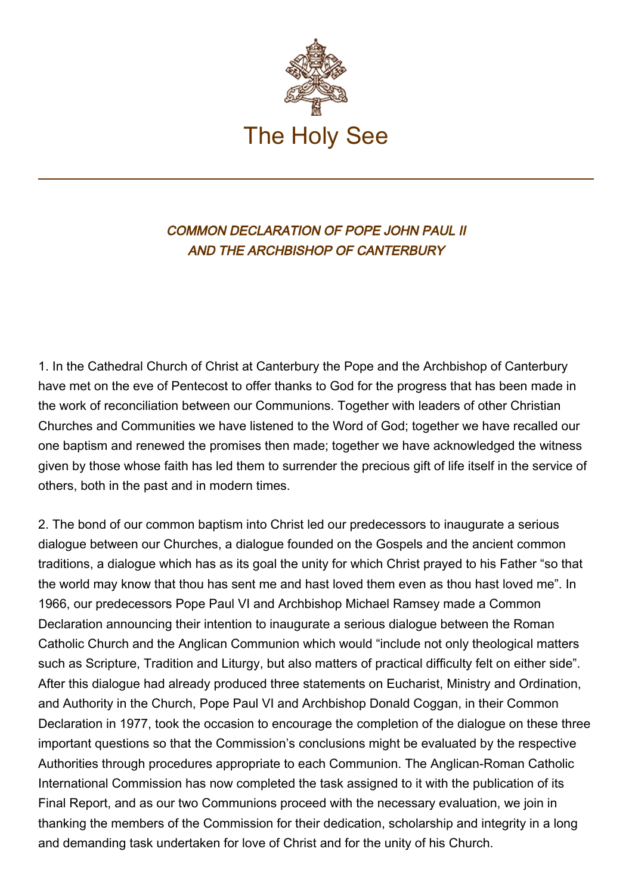

## COMMON DECLARATION OF POPE JOHN PAUL II AND THE ARCHBISHOP OF CANTERBURY

1. In the Cathedral Church of Christ at Canterbury the Pope and the Archbishop of Canterbury have met on the eve of Pentecost to offer thanks to God for the progress that has been made in the work of reconciliation between our Communions. Together with leaders of other Christian Churches and Communities we have listened to the Word of God; together we have recalled our one baptism and renewed the promises then made; together we have acknowledged the witness given by those whose faith has led them to surrender the precious gift of life itself in the service of others, both in the past and in modern times.

2. The bond of our common baptism into Christ led our predecessors to inaugurate a serious dialogue between our Churches, a dialogue founded on the Gospels and the ancient common traditions, a dialogue which has as its goal the unity for which Christ prayed to his Father "so that the world may know that thou has sent me and hast loved them even as thou hast loved me". In 1966, our predecessors Pope Paul VI and Archbishop Michael Ramsey made a Common Declaration announcing their intention to inaugurate a serious dialogue between the Roman Catholic Church and the Anglican Communion which would "include not only theological matters such as Scripture, Tradition and Liturgy, but also matters of practical difficulty felt on either side". After this dialogue had already produced three statements on Eucharist, Ministry and Ordination, and Authority in the Church, Pope Paul VI and Archbishop Donald Coggan, in their Common Declaration in 1977, took the occasion to encourage the completion of the dialogue on these three important questions so that the Commission's conclusions might be evaluated by the respective Authorities through procedures appropriate to each Communion. The Anglican-Roman Catholic International Commission has now completed the task assigned to it with the publication of its Final Report, and as our two Communions proceed with the necessary evaluation, we join in thanking the members of the Commission for their dedication, scholarship and integrity in a long and demanding task undertaken for love of Christ and for the unity of his Church.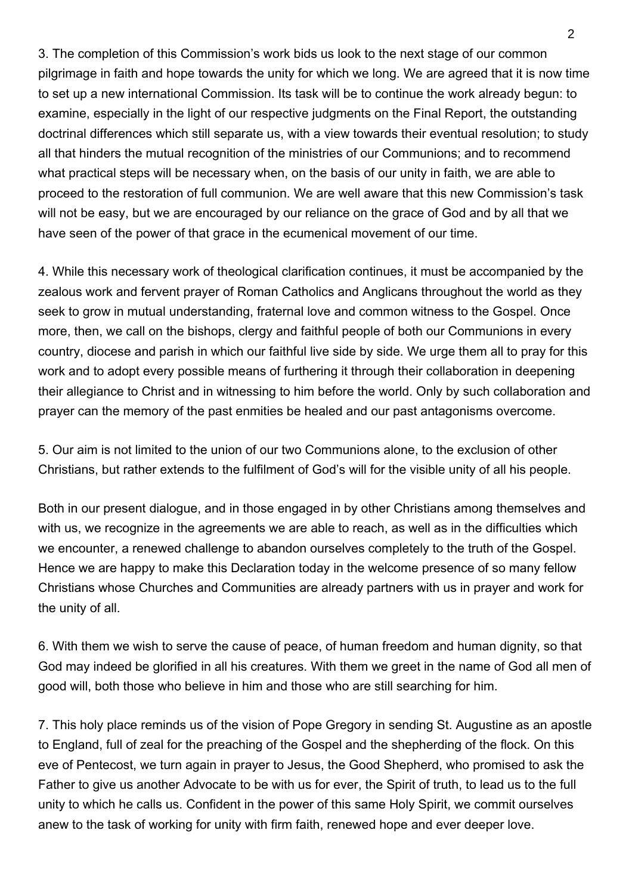3. The completion of this Commission's work bids us look to the next stage of our common pilgrimage in faith and hope towards the unity for which we long. We are agreed that it is now time to set up a new international Commission. Its task will be to continue the work already begun: to examine, especially in the light of our respective judgments on the Final Report, the outstanding doctrinal differences which still separate us, with a view towards their eventual resolution; to study all that hinders the mutual recognition of the ministries of our Communions; and to recommend what practical steps will be necessary when, on the basis of our unity in faith, we are able to proceed to the restoration of full communion. We are well aware that this new Commission's task will not be easy, but we are encouraged by our reliance on the grace of God and by all that we have seen of the power of that grace in the ecumenical movement of our time.

4. While this necessary work of theological clarification continues, it must be accompanied by the zealous work and fervent prayer of Roman Catholics and Anglicans throughout the world as they seek to grow in mutual understanding, fraternal love and common witness to the Gospel. Once more, then, we call on the bishops, clergy and faithful people of both our Communions in every country, diocese and parish in which our faithful live side by side. We urge them all to pray for this work and to adopt every possible means of furthering it through their collaboration in deepening their allegiance to Christ and in witnessing to him before the world. Only by such collaboration and prayer can the memory of the past enmities be healed and our past antagonisms overcome.

5. Our aim is not limited to the union of our two Communions alone, to the exclusion of other Christians, but rather extends to the fulfilment of God's will for the visible unity of all his people.

Both in our present dialogue, and in those engaged in by other Christians among themselves and with us, we recognize in the agreements we are able to reach, as well as in the difficulties which we encounter, a renewed challenge to abandon ourselves completely to the truth of the Gospel. Hence we are happy to make this Declaration today in the welcome presence of so many fellow Christians whose Churches and Communities are already partners with us in prayer and work for the unity of all.

6. With them we wish to serve the cause of peace, of human freedom and human dignity, so that God may indeed be glorified in all his creatures. With them we greet in the name of God all men of good will, both those who believe in him and those who are still searching for him.

7. This holy place reminds us of the vision of Pope Gregory in sending St. Augustine as an apostle to England, full of zeal for the preaching of the Gospel and the shepherding of the flock. On this eve of Pentecost, we turn again in prayer to Jesus, the Good Shepherd, who promised to ask the Father to give us another Advocate to be with us for ever, the Spirit of truth, to lead us to the full unity to which he calls us. Confident in the power of this same Holy Spirit, we commit ourselves anew to the task of working for unity with firm faith, renewed hope and ever deeper love.